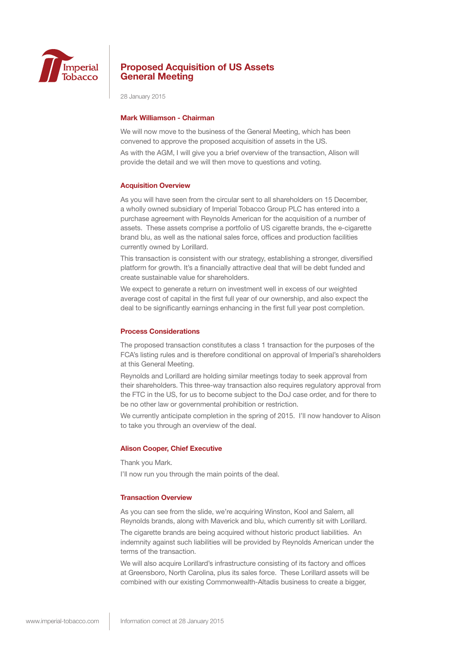

28 January 2015

### **Mark Williamson - Chairman**

We will now move to the business of the General Meeting, which has been convened to approve the proposed acquisition of assets in the US.

As with the AGM, I will give you a brief overview of the transaction, Alison will provide the detail and we will then move to questions and voting.

#### **Acquisition Overview**

As you will have seen from the circular sent to all shareholders on 15 December, a wholly owned subsidiary of Imperial Tobacco Group PLC has entered into a purchase agreement with Reynolds American for the acquisition of a number of assets. These assets comprise a portfolio of US cigarette brands, the e-cigarette brand blu, as well as the national sales force, offices and production facilities currently owned by Lorillard.

This transaction is consistent with our strategy, establishing a stronger, diversified platform for growth. It's a financially attractive deal that will be debt funded and create sustainable value for shareholders.

We expect to generate a return on investment well in excess of our weighted average cost of capital in the first full year of our ownership, and also expect the deal to be significantly earnings enhancing in the first full year post completion.

### **Process Considerations**

The proposed transaction constitutes a class 1 transaction for the purposes of the FCA's listing rules and is therefore conditional on approval of Imperial's shareholders at this General Meeting.

Reynolds and Lorillard are holding similar meetings today to seek approval from their shareholders. This three-way transaction also requires regulatory approval from the FTC in the US, for us to become subject to the DoJ case order, and for there to be no other law or governmental prohibition or restriction.

We currently anticipate completion in the spring of 2015. I'll now handover to Alison to take you through an overview of the deal.

#### **Alison Cooper, Chief Executive**

Thank you Mark.

I'll now run you through the main points of the deal.

### **Transaction Overview**

As you can see from the slide, we're acquiring Winston, Kool and Salem, all Reynolds brands, along with Maverick and blu, which currently sit with Lorillard.

The cigarette brands are being acquired without historic product liabilities. An indemnity against such liabilities will be provided by Reynolds American under the terms of the transaction.

We will also acquire Lorillard's infrastructure consisting of its factory and offices at Greensboro, North Carolina, plus its sales force. These Lorillard assets will be combined with our existing Commonwealth-Altadis business to create a bigger,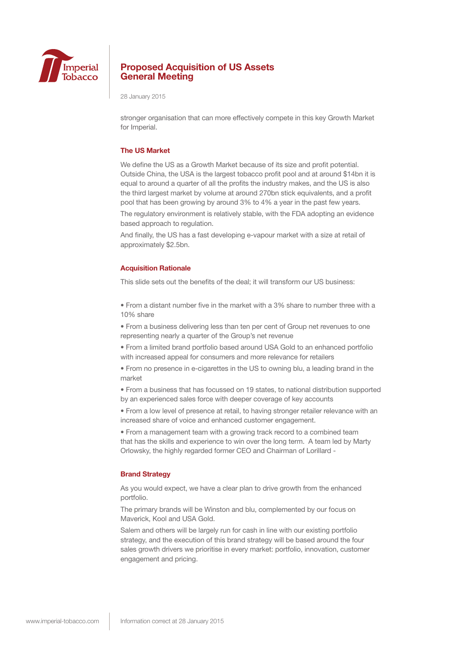

28 January 2015

stronger organisation that can more effectively compete in this key Growth Market for Imperial.

#### **The US Market**

We define the US as a Growth Market because of its size and profit potential. Outside China, the USA is the largest tobacco profit pool and at around \$14bn it is equal to around a quarter of all the profits the industry makes, and the US is also the third largest market by volume at around 270bn stick equivalents, and a profit pool that has been growing by around 3% to 4% a year in the past few years.

The regulatory environment is relatively stable, with the FDA adopting an evidence based approach to regulation.

And finally, the US has a fast developing e-vapour market with a size at retail of approximately \$2.5bn.

#### **Acquisition Rationale**

This slide sets out the benefits of the deal; it will transform our US business:

• From a distant number five in the market with a 3% share to number three with a 10% share

• From a business delivering less than ten per cent of Group net revenues to one representing nearly a quarter of the Group's net revenue

• From a limited brand portfolio based around USA Gold to an enhanced portfolio with increased appeal for consumers and more relevance for retailers

• From no presence in e-cigarettes in the US to owning blu, a leading brand in the market

• From a business that has focussed on 19 states, to national distribution supported by an experienced sales force with deeper coverage of key accounts

• From a low level of presence at retail, to having stronger retailer relevance with an increased share of voice and enhanced customer engagement.

• From a management team with a growing track record to a combined team that has the skills and experience to win over the long term. A team led by Marty Orlowsky, the highly regarded former CEO and Chairman of Lorillard -

#### **Brand Strategy**

As you would expect, we have a clear plan to drive growth from the enhanced portfolio.

The primary brands will be Winston and blu, complemented by our focus on Maverick, Kool and USA Gold.

Salem and others will be largely run for cash in line with our existing portfolio strategy, and the execution of this brand strategy will be based around the four sales growth drivers we prioritise in every market: portfolio, innovation, customer engagement and pricing.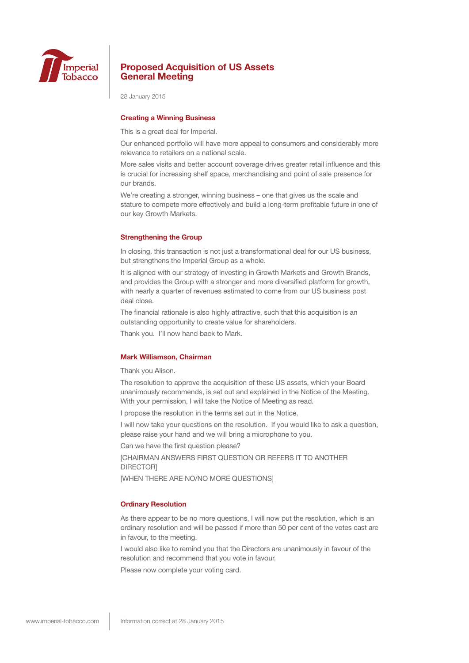

28 January 2015

## **Creating a Winning Business**

This is a great deal for Imperial.

Our enhanced portfolio will have more appeal to consumers and considerably more relevance to retailers on a national scale.

More sales visits and better account coverage drives greater retail influence and this is crucial for increasing shelf space, merchandising and point of sale presence for our brands.

We're creating a stronger, winning business – one that gives us the scale and stature to compete more effectively and build a long-term profitable future in one of our key Growth Markets.

#### **Strengthening the Group**

In closing, this transaction is not just a transformational deal for our US business, but strengthens the Imperial Group as a whole.

It is aligned with our strategy of investing in Growth Markets and Growth Brands, and provides the Group with a stronger and more diversified platform for growth, with nearly a quarter of revenues estimated to come from our US business post deal close.

The financial rationale is also highly attractive, such that this acquisition is an outstanding opportunity to create value for shareholders.

Thank you. I'll now hand back to Mark.

## **Mark Williamson, Chairman**

Thank you Alison.

The resolution to approve the acquisition of these US assets, which your Board unanimously recommends, is set out and explained in the Notice of the Meeting. With your permission, I will take the Notice of Meeting as read.

I propose the resolution in the terms set out in the Notice.

I will now take your questions on the resolution. If you would like to ask a question, please raise your hand and we will bring a microphone to you.

Can we have the first question please?

[CHAIRMAN ANSWERS FIRST QUESTION OR REFERS IT TO ANOTHER **DIRECTORI** 

[WHEN THERE ARE NO/NO MORE QUESTIONS]

### **Ordinary Resolution**

As there appear to be no more questions, I will now put the resolution, which is an ordinary resolution and will be passed if more than 50 per cent of the votes cast are in favour, to the meeting.

I would also like to remind you that the Directors are unanimously in favour of the resolution and recommend that you vote in favour.

Please now complete your voting card.